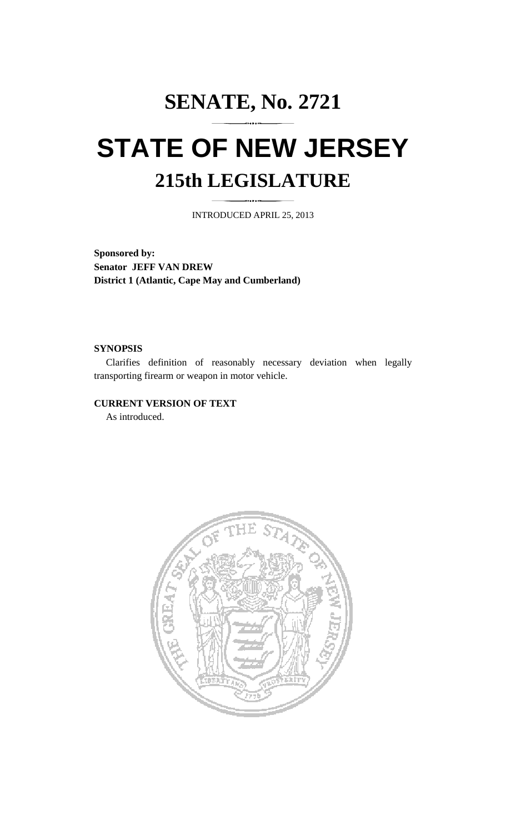# **SENATE, No. 2721 STATE OF NEW JERSEY 215th LEGISLATURE**

INTRODUCED APRIL 25, 2013

**Sponsored by: Senator JEFF VAN DREW District 1 (Atlantic, Cape May and Cumberland)** 

## **SYNOPSIS**

 Clarifies definition of reasonably necessary deviation when legally transporting firearm or weapon in motor vehicle.

## **CURRENT VERSION OF TEXT**

As introduced.

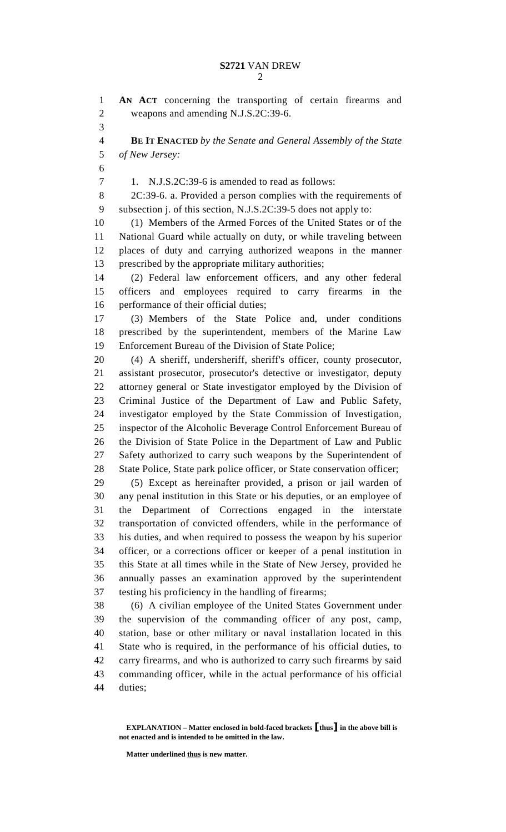1 **AN ACT** concerning the transporting of certain firearms and 2 weapons and amending N.J.S.2C:39-6. 3 4 **BE IT ENACTED** *by the Senate and General Assembly of the State*  5 *of New Jersey:* 6 7 1. N.J.S.2C:39-6 is amended to read as follows: 8 2C:39-6. a. Provided a person complies with the requirements of 9 subsection j. of this section, N.J.S.2C:39-5 does not apply to: 10 (1) Members of the Armed Forces of the United States or of the 11 National Guard while actually on duty, or while traveling between 12 places of duty and carrying authorized weapons in the manner 13 prescribed by the appropriate military authorities; 14 (2) Federal law enforcement officers, and any other federal 15 officers and employees required to carry firearms in the 16 performance of their official duties; 17 (3) Members of the State Police and, under conditions 18 prescribed by the superintendent, members of the Marine Law 19 Enforcement Bureau of the Division of State Police; 20 (4) A sheriff, undersheriff, sheriff's officer, county prosecutor, 21 assistant prosecutor, prosecutor's detective or investigator, deputy 22 attorney general or State investigator employed by the Division of 23 Criminal Justice of the Department of Law and Public Safety, 24 investigator employed by the State Commission of Investigation, 25 inspector of the Alcoholic Beverage Control Enforcement Bureau of 26 the Division of State Police in the Department of Law and Public 27 Safety authorized to carry such weapons by the Superintendent of 28 State Police, State park police officer, or State conservation officer; 29 (5) Except as hereinafter provided, a prison or jail warden of 30 any penal institution in this State or his deputies, or an employee of 31 the Department of Corrections engaged in the interstate 32 transportation of convicted offenders, while in the performance of 33 his duties, and when required to possess the weapon by his superior 34 officer, or a corrections officer or keeper of a penal institution in 35 this State at all times while in the State of New Jersey, provided he 36 annually passes an examination approved by the superintendent 37 testing his proficiency in the handling of firearms; 38 (6) A civilian employee of the United States Government under 39 the supervision of the commanding officer of any post, camp, 40 station, base or other military or naval installation located in this 41 State who is required, in the performance of his official duties, to 42 carry firearms, and who is authorized to carry such firearms by said 43 commanding officer, while in the actual performance of his official

 **Matter underlined thus is new matter.** 

44 duties;

**EXPLANATION – Matter enclosed in bold-faced brackets** [**thus**] **in the above bill is not enacted and is intended to be omitted in the law.**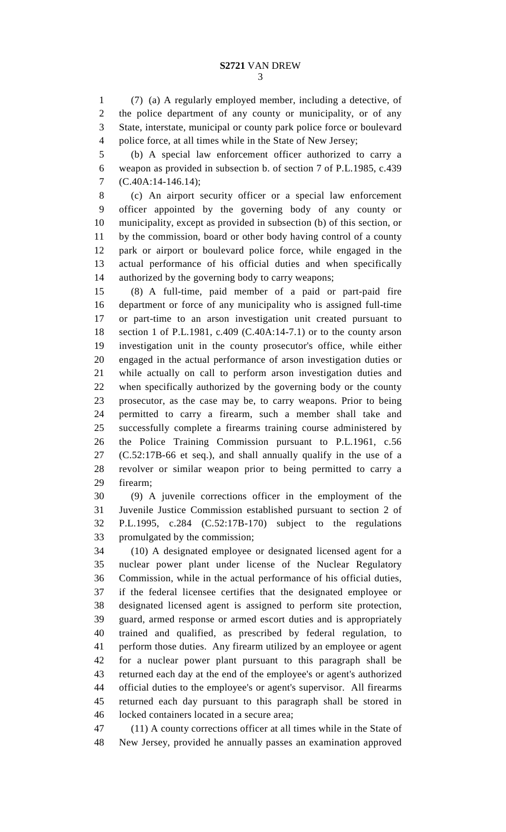1 (7) (a) A regularly employed member, including a detective, of 2 the police department of any county or municipality, or of any 3 State, interstate, municipal or county park police force or boulevard 4 police force, at all times while in the State of New Jersey;

5 (b) A special law enforcement officer authorized to carry a 6 weapon as provided in subsection b. of section 7 of P.L.1985, c.439 7 (C.40A:14-146.14);

8 (c) An airport security officer or a special law enforcement 9 officer appointed by the governing body of any county or 10 municipality, except as provided in subsection (b) of this section, or 11 by the commission, board or other body having control of a county 12 park or airport or boulevard police force, while engaged in the 13 actual performance of his official duties and when specifically 14 authorized by the governing body to carry weapons;

15 (8) A full-time, paid member of a paid or part-paid fire 16 department or force of any municipality who is assigned full-time 17 or part-time to an arson investigation unit created pursuant to 18 section 1 of P.L.1981, c.409 (C.40A:14-7.1) or to the county arson 19 investigation unit in the county prosecutor's office, while either 20 engaged in the actual performance of arson investigation duties or 21 while actually on call to perform arson investigation duties and 22 when specifically authorized by the governing body or the county 23 prosecutor, as the case may be, to carry weapons. Prior to being 24 permitted to carry a firearm, such a member shall take and 25 successfully complete a firearms training course administered by 26 the Police Training Commission pursuant to P.L.1961, c.56 27 (C.52:17B-66 et seq.), and shall annually qualify in the use of a 28 revolver or similar weapon prior to being permitted to carry a 29 firearm;

30 (9) A juvenile corrections officer in the employment of the 31 Juvenile Justice Commission established pursuant to section 2 of 32 P.L.1995, c.284 (C.52:17B-170) subject to the regulations 33 promulgated by the commission;

34 (10) A designated employee or designated licensed agent for a 35 nuclear power plant under license of the Nuclear Regulatory 36 Commission, while in the actual performance of his official duties, 37 if the federal licensee certifies that the designated employee or 38 designated licensed agent is assigned to perform site protection, 39 guard, armed response or armed escort duties and is appropriately 40 trained and qualified, as prescribed by federal regulation, to 41 perform those duties. Any firearm utilized by an employee or agent 42 for a nuclear power plant pursuant to this paragraph shall be 43 returned each day at the end of the employee's or agent's authorized 44 official duties to the employee's or agent's supervisor. All firearms 45 returned each day pursuant to this paragraph shall be stored in 46 locked containers located in a secure area;

47 (11) A county corrections officer at all times while in the State of 48 New Jersey, provided he annually passes an examination approved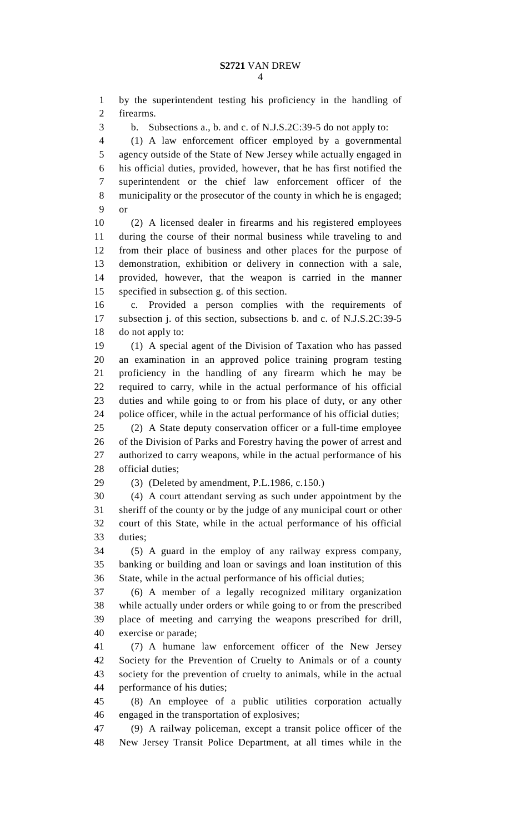1 by the superintendent testing his proficiency in the handling of 2 firearms. 3 b. Subsections a., b. and c. of N.J.S.2C:39-5 do not apply to: 4 (1) A law enforcement officer employed by a governmental 5 agency outside of the State of New Jersey while actually engaged in 6 his official duties, provided, however, that he has first notified the 7 superintendent or the chief law enforcement officer of the 8 municipality or the prosecutor of the county in which he is engaged; 9 or 10 (2) A licensed dealer in firearms and his registered employees 11 during the course of their normal business while traveling to and 12 from their place of business and other places for the purpose of 13 demonstration, exhibition or delivery in connection with a sale, 14 provided, however, that the weapon is carried in the manner 15 specified in subsection g. of this section. 16 c. Provided a person complies with the requirements of 17 subsection j. of this section, subsections b. and c. of N.J.S.2C:39-5 18 do not apply to: 19 (1) A special agent of the Division of Taxation who has passed 20 an examination in an approved police training program testing 21 proficiency in the handling of any firearm which he may be 22 required to carry, while in the actual performance of his official 23 duties and while going to or from his place of duty, or any other 24 police officer, while in the actual performance of his official duties; 25 (2) A State deputy conservation officer or a full-time employee 26 of the Division of Parks and Forestry having the power of arrest and 27 authorized to carry weapons, while in the actual performance of his 28 official duties; 29 (3) (Deleted by amendment, P.L.1986, c.150.) 30 (4) A court attendant serving as such under appointment by the 31 sheriff of the county or by the judge of any municipal court or other 32 court of this State, while in the actual performance of his official 33 duties; 34 (5) A guard in the employ of any railway express company, 35 banking or building and loan or savings and loan institution of this 36 State, while in the actual performance of his official duties; 37 (6) A member of a legally recognized military organization

38 while actually under orders or while going to or from the prescribed 39 place of meeting and carrying the weapons prescribed for drill, 40 exercise or parade;

41 (7) A humane law enforcement officer of the New Jersey 42 Society for the Prevention of Cruelty to Animals or of a county 43 society for the prevention of cruelty to animals, while in the actual 44 performance of his duties;

45 (8) An employee of a public utilities corporation actually 46 engaged in the transportation of explosives;

47 (9) A railway policeman, except a transit police officer of the 48 New Jersey Transit Police Department, at all times while in the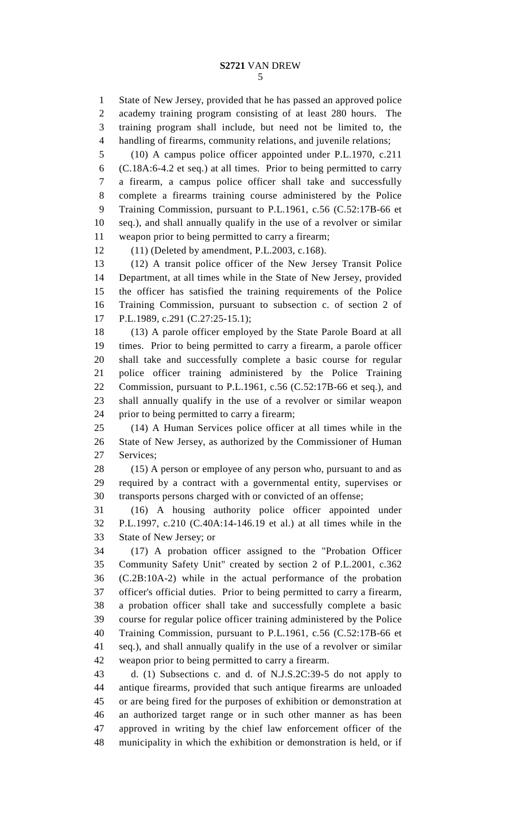1 State of New Jersey, provided that he has passed an approved police 2 academy training program consisting of at least 280 hours. The 3 training program shall include, but need not be limited to, the 4 handling of firearms, community relations, and juvenile relations;

5 (10) A campus police officer appointed under P.L.1970, c.211 6 (C.18A:6-4.2 et seq.) at all times. Prior to being permitted to carry 7 a firearm, a campus police officer shall take and successfully 8 complete a firearms training course administered by the Police 9 Training Commission, pursuant to P.L.1961, c.56 (C.52:17B-66 et 10 seq.), and shall annually qualify in the use of a revolver or similar 11 weapon prior to being permitted to carry a firearm;

12 (11) (Deleted by amendment, P.L.2003, c.168).

13 (12) A transit police officer of the New Jersey Transit Police 14 Department, at all times while in the State of New Jersey, provided 15 the officer has satisfied the training requirements of the Police 16 Training Commission, pursuant to subsection c. of section 2 of 17 P.L.1989, c.291 (C.27:25-15.1);

18 (13) A parole officer employed by the State Parole Board at all 19 times. Prior to being permitted to carry a firearm, a parole officer 20 shall take and successfully complete a basic course for regular 21 police officer training administered by the Police Training 22 Commission, pursuant to P.L.1961, c.56 (C.52:17B-66 et seq.), and 23 shall annually qualify in the use of a revolver or similar weapon 24 prior to being permitted to carry a firearm;

25 (14) A Human Services police officer at all times while in the 26 State of New Jersey, as authorized by the Commissioner of Human 27 Services;

28 (15) A person or employee of any person who, pursuant to and as 29 required by a contract with a governmental entity, supervises or 30 transports persons charged with or convicted of an offense;

31 (16) A housing authority police officer appointed under 32 P.L.1997, c.210 (C.40A:14-146.19 et al.) at all times while in the 33 State of New Jersey; or

34 (17) A probation officer assigned to the "Probation Officer 35 Community Safety Unit" created by section 2 of P.L.2001, c.362 36 (C.2B:10A-2) while in the actual performance of the probation 37 officer's official duties. Prior to being permitted to carry a firearm, 38 a probation officer shall take and successfully complete a basic 39 course for regular police officer training administered by the Police 40 Training Commission, pursuant to P.L.1961, c.56 (C.52:17B-66 et 41 seq.), and shall annually qualify in the use of a revolver or similar 42 weapon prior to being permitted to carry a firearm.

43 d. (1) Subsections c. and d. of N.J.S.2C:39-5 do not apply to 44 antique firearms, provided that such antique firearms are unloaded 45 or are being fired for the purposes of exhibition or demonstration at 46 an authorized target range or in such other manner as has been 47 approved in writing by the chief law enforcement officer of the 48 municipality in which the exhibition or demonstration is held, or if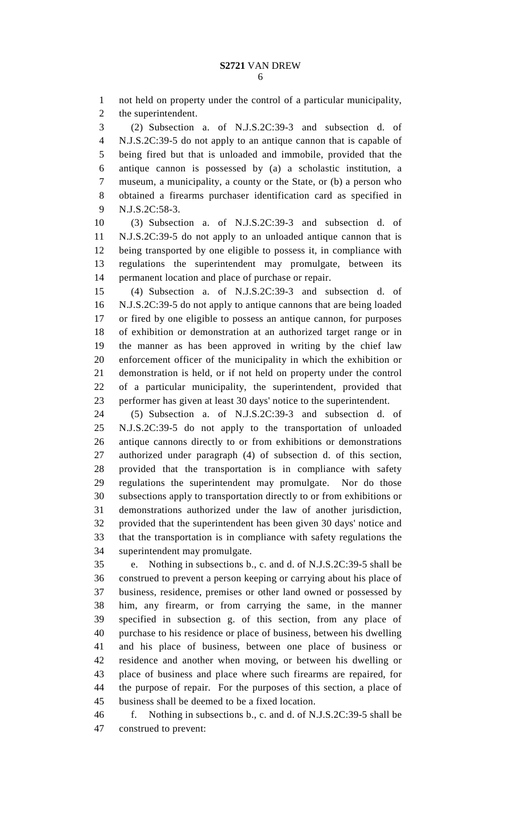1 not held on property under the control of a particular municipality, 2 the superintendent. 3 (2) Subsection a. of N.J.S.2C:39-3 and subsection d. of

4 N.J.S.2C:39-5 do not apply to an antique cannon that is capable of 5 being fired but that is unloaded and immobile, provided that the 6 antique cannon is possessed by (a) a scholastic institution, a 7 museum, a municipality, a county or the State, or (b) a person who 8 obtained a firearms purchaser identification card as specified in 9 N.J.S.2C:58-3.

10 (3) Subsection a. of N.J.S.2C:39-3 and subsection d. of 11 N.J.S.2C:39-5 do not apply to an unloaded antique cannon that is 12 being transported by one eligible to possess it, in compliance with 13 regulations the superintendent may promulgate, between its 14 permanent location and place of purchase or repair.

15 (4) Subsection a. of N.J.S.2C:39-3 and subsection d. of 16 N.J.S.2C:39-5 do not apply to antique cannons that are being loaded 17 or fired by one eligible to possess an antique cannon, for purposes 18 of exhibition or demonstration at an authorized target range or in 19 the manner as has been approved in writing by the chief law 20 enforcement officer of the municipality in which the exhibition or 21 demonstration is held, or if not held on property under the control 22 of a particular municipality, the superintendent, provided that 23 performer has given at least 30 days' notice to the superintendent.

24 (5) Subsection a. of N.J.S.2C:39-3 and subsection d. of 25 N.J.S.2C:39-5 do not apply to the transportation of unloaded 26 antique cannons directly to or from exhibitions or demonstrations 27 authorized under paragraph (4) of subsection d. of this section, 28 provided that the transportation is in compliance with safety 29 regulations the superintendent may promulgate. Nor do those 30 subsections apply to transportation directly to or from exhibitions or 31 demonstrations authorized under the law of another jurisdiction, 32 provided that the superintendent has been given 30 days' notice and 33 that the transportation is in compliance with safety regulations the 34 superintendent may promulgate.

35 e. Nothing in subsections b., c. and d. of N.J.S.2C:39-5 shall be 36 construed to prevent a person keeping or carrying about his place of 37 business, residence, premises or other land owned or possessed by 38 him, any firearm, or from carrying the same, in the manner 39 specified in subsection g. of this section, from any place of 40 purchase to his residence or place of business, between his dwelling 41 and his place of business, between one place of business or 42 residence and another when moving, or between his dwelling or 43 place of business and place where such firearms are repaired, for 44 the purpose of repair. For the purposes of this section, a place of 45 business shall be deemed to be a fixed location.

46 f. Nothing in subsections b., c. and d. of N.J.S.2C:39-5 shall be 47 construed to prevent: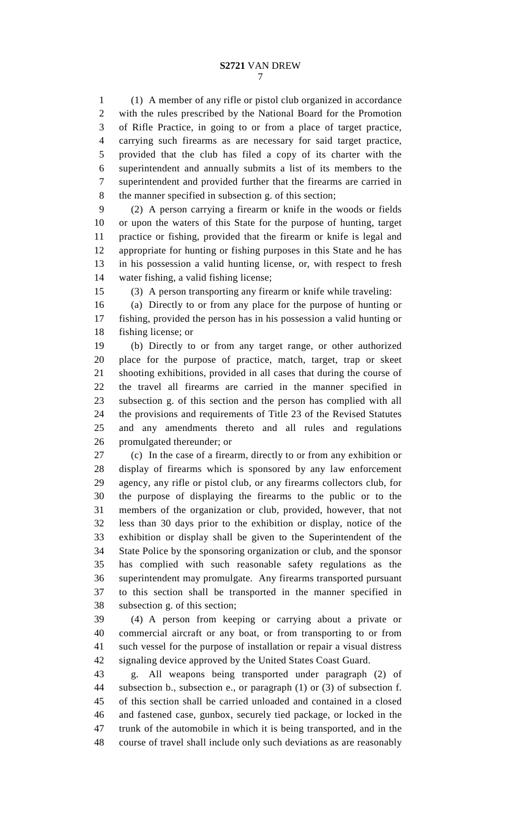1 (1) A member of any rifle or pistol club organized in accordance 2 with the rules prescribed by the National Board for the Promotion 3 of Rifle Practice, in going to or from a place of target practice, 4 carrying such firearms as are necessary for said target practice, 5 provided that the club has filed a copy of its charter with the 6 superintendent and annually submits a list of its members to the 7 superintendent and provided further that the firearms are carried in 8 the manner specified in subsection g. of this section;

9 (2) A person carrying a firearm or knife in the woods or fields 10 or upon the waters of this State for the purpose of hunting, target 11 practice or fishing, provided that the firearm or knife is legal and 12 appropriate for hunting or fishing purposes in this State and he has 13 in his possession a valid hunting license, or, with respect to fresh 14 water fishing, a valid fishing license;

15 (3) A person transporting any firearm or knife while traveling:

16 (a) Directly to or from any place for the purpose of hunting or 17 fishing, provided the person has in his possession a valid hunting or 18 fishing license; or

19 (b) Directly to or from any target range, or other authorized 20 place for the purpose of practice, match, target, trap or skeet 21 shooting exhibitions, provided in all cases that during the course of 22 the travel all firearms are carried in the manner specified in 23 subsection g. of this section and the person has complied with all 24 the provisions and requirements of Title 23 of the Revised Statutes 25 and any amendments thereto and all rules and regulations 26 promulgated thereunder; or

27 (c) In the case of a firearm, directly to or from any exhibition or 28 display of firearms which is sponsored by any law enforcement 29 agency, any rifle or pistol club, or any firearms collectors club, for 30 the purpose of displaying the firearms to the public or to the 31 members of the organization or club, provided, however, that not 32 less than 30 days prior to the exhibition or display, notice of the 33 exhibition or display shall be given to the Superintendent of the 34 State Police by the sponsoring organization or club, and the sponsor 35 has complied with such reasonable safety regulations as the 36 superintendent may promulgate. Any firearms transported pursuant 37 to this section shall be transported in the manner specified in 38 subsection g. of this section;

39 (4) A person from keeping or carrying about a private or 40 commercial aircraft or any boat, or from transporting to or from 41 such vessel for the purpose of installation or repair a visual distress 42 signaling device approved by the United States Coast Guard.

43 g. All weapons being transported under paragraph (2) of 44 subsection b., subsection e., or paragraph (1) or (3) of subsection f. 45 of this section shall be carried unloaded and contained in a closed 46 and fastened case, gunbox, securely tied package, or locked in the 47 trunk of the automobile in which it is being transported, and in the 48 course of travel shall include only such deviations as are reasonably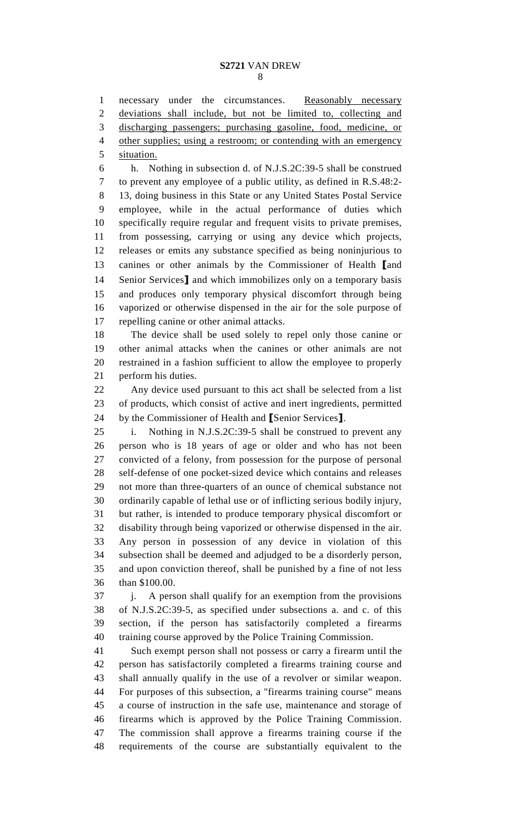#### **S2721** VAN DREW 8

1 necessary under the circumstances. Reasonably necessary 2 deviations shall include, but not be limited to, collecting and 3 discharging passengers; purchasing gasoline, food, medicine, or 4 other supplies; using a restroom; or contending with an emergency 5 situation. 6 h. Nothing in subsection d. of N.J.S.2C:39-5 shall be construed 7 to prevent any employee of a public utility, as defined in R.S.48:2- 8 13, doing business in this State or any United States Postal Service 9 employee, while in the actual performance of duties which 10 specifically require regular and frequent visits to private premises, 11 from possessing, carrying or using any device which projects, 12 releases or emits any substance specified as being noninjurious to 13 canines or other animals by the Commissioner of Health [and 14 Senior Services] and which immobilizes only on a temporary basis 15 and produces only temporary physical discomfort through being 16 vaporized or otherwise dispensed in the air for the sole purpose of 17 repelling canine or other animal attacks. 18 The device shall be used solely to repel only those canine or 19 other animal attacks when the canines or other animals are not 20 restrained in a fashion sufficient to allow the employee to properly 21 perform his duties. 31 but rather, is intended to produce temporary physical discomfort or 36 than \$100.00. 41 Such exempt person shall not possess or carry a firearm until the 42 person has satisfactorily completed a firearms training course and 43 shall annually qualify in the use of a revolver or similar weapon. 44 For purposes of this subsection, a "firearms training course" means 45 a course of instruction in the safe use, maintenance and storage of 46 firearms which is approved by the Police Training Commission. 47 The commission shall approve a firearms training course if the

48 requirements of the course are substantially equivalent to the

22 Any device used pursuant to this act shall be selected from a list 23 of products, which consist of active and inert ingredients, permitted

24 by the Commissioner of Health and [Senior Services]. 25 i. Nothing in N.J.S.2C:39-5 shall be construed to prevent any 26 person who is 18 years of age or older and who has not been 27 convicted of a felony, from possession for the purpose of personal

28 self-defense of one pocket-sized device which contains and releases 29 not more than three-quarters of an ounce of chemical substance not 30 ordinarily capable of lethal use or of inflicting serious bodily injury,

32 disability through being vaporized or otherwise dispensed in the air. 33 Any person in possession of any device in violation of this 34 subsection shall be deemed and adjudged to be a disorderly person, 35 and upon conviction thereof, shall be punished by a fine of not less

37 j. A person shall qualify for an exemption from the provisions 38 of N.J.S.2C:39-5, as specified under subsections a. and c. of this 39 section, if the person has satisfactorily completed a firearms 40 training course approved by the Police Training Commission.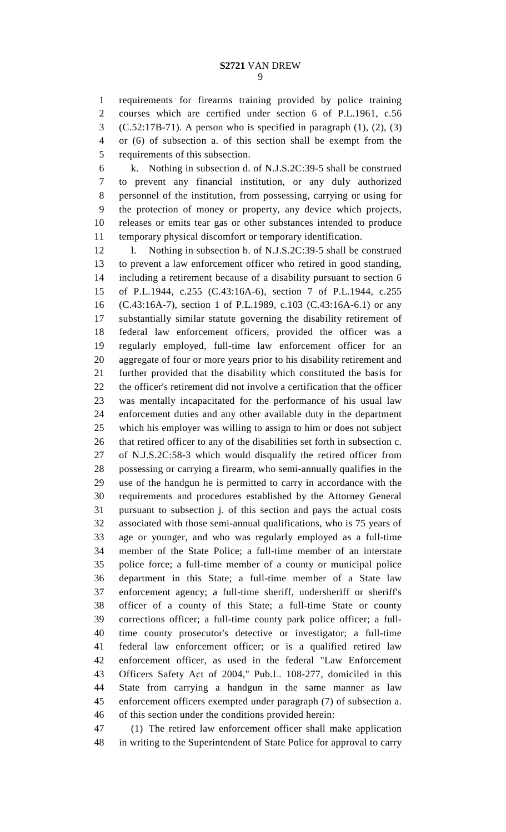1 requirements for firearms training provided by police training 2 courses which are certified under section 6 of P.L.1961, c.56 3 (C.52:17B-71). A person who is specified in paragraph (1), (2), (3) 4 or (6) of subsection a. of this section shall be exempt from the 5 requirements of this subsection.

6 k. Nothing in subsection d. of N.J.S.2C:39-5 shall be construed 7 to prevent any financial institution, or any duly authorized 8 personnel of the institution, from possessing, carrying or using for 9 the protection of money or property, any device which projects, 10 releases or emits tear gas or other substances intended to produce 11 temporary physical discomfort or temporary identification.

12 l. Nothing in subsection b. of N.J.S.2C:39-5 shall be construed 13 to prevent a law enforcement officer who retired in good standing, 14 including a retirement because of a disability pursuant to section 6 15 of P.L.1944, c.255 (C.43:16A-6), section 7 of P.L.1944, c.255 16 (C.43:16A-7), section 1 of P.L.1989, c.103 (C.43:16A-6.1) or any 17 substantially similar statute governing the disability retirement of 18 federal law enforcement officers, provided the officer was a 19 regularly employed, full-time law enforcement officer for an 20 aggregate of four or more years prior to his disability retirement and 21 further provided that the disability which constituted the basis for 22 the officer's retirement did not involve a certification that the officer 23 was mentally incapacitated for the performance of his usual law 24 enforcement duties and any other available duty in the department 25 which his employer was willing to assign to him or does not subject 26 that retired officer to any of the disabilities set forth in subsection c. 27 of N.J.S.2C:58-3 which would disqualify the retired officer from 28 possessing or carrying a firearm, who semi-annually qualifies in the 29 use of the handgun he is permitted to carry in accordance with the 30 requirements and procedures established by the Attorney General 31 pursuant to subsection j. of this section and pays the actual costs 32 associated with those semi-annual qualifications, who is 75 years of 33 age or younger, and who was regularly employed as a full-time 34 member of the State Police; a full-time member of an interstate 35 police force; a full-time member of a county or municipal police 36 department in this State; a full-time member of a State law 37 enforcement agency; a full-time sheriff, undersheriff or sheriff's 38 officer of a county of this State; a full-time State or county 39 corrections officer; a full-time county park police officer; a full-40 time county prosecutor's detective or investigator; a full-time 41 federal law enforcement officer; or is a qualified retired law 42 enforcement officer, as used in the federal "Law Enforcement 43 Officers Safety Act of 2004," Pub.L. 108-277, domiciled in this 44 State from carrying a handgun in the same manner as law 45 enforcement officers exempted under paragraph (7) of subsection a. 46 of this section under the conditions provided herein:

47 (1) The retired law enforcement officer shall make application 48 in writing to the Superintendent of State Police for approval to carry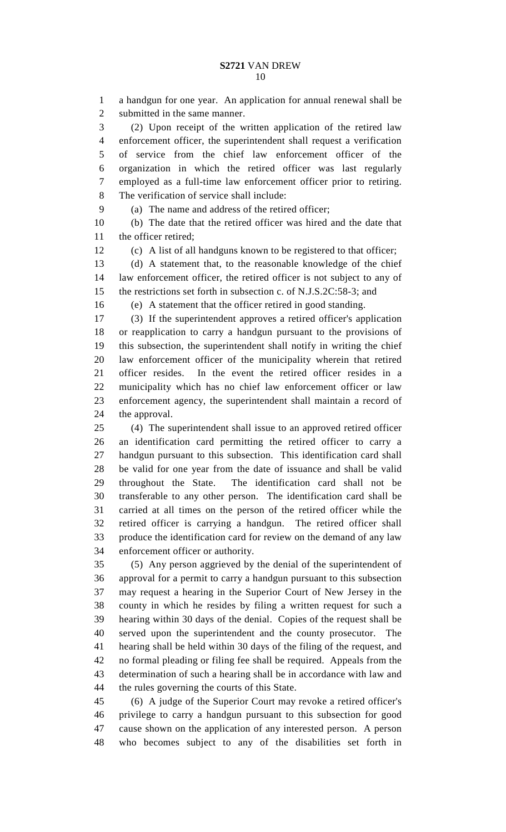1 a handgun for one year. An application for annual renewal shall be 2 submitted in the same manner. 3 (2) Upon receipt of the written application of the retired law 4 enforcement officer, the superintendent shall request a verification 5 of service from the chief law enforcement officer of the 6 organization in which the retired officer was last regularly 7 employed as a full-time law enforcement officer prior to retiring.

8 The verification of service shall include:

9 (a) The name and address of the retired officer;

10 (b) The date that the retired officer was hired and the date that 11 the officer retired;

12 (c) A list of all handguns known to be registered to that officer;

13 (d) A statement that, to the reasonable knowledge of the chief 14 law enforcement officer, the retired officer is not subject to any of 15 the restrictions set forth in subsection c. of N.J.S.2C:58-3; and

16 (e) A statement that the officer retired in good standing.

17 (3) If the superintendent approves a retired officer's application 18 or reapplication to carry a handgun pursuant to the provisions of 19 this subsection, the superintendent shall notify in writing the chief 20 law enforcement officer of the municipality wherein that retired 21 officer resides. In the event the retired officer resides in a 22 municipality which has no chief law enforcement officer or law 23 enforcement agency, the superintendent shall maintain a record of 24 the approval.

25 (4) The superintendent shall issue to an approved retired officer 26 an identification card permitting the retired officer to carry a 27 handgun pursuant to this subsection. This identification card shall 28 be valid for one year from the date of issuance and shall be valid 29 throughout the State. The identification card shall not be 30 transferable to any other person. The identification card shall be 31 carried at all times on the person of the retired officer while the 32 retired officer is carrying a handgun. The retired officer shall 33 produce the identification card for review on the demand of any law 34 enforcement officer or authority.

35 (5) Any person aggrieved by the denial of the superintendent of 36 approval for a permit to carry a handgun pursuant to this subsection 37 may request a hearing in the Superior Court of New Jersey in the 38 county in which he resides by filing a written request for such a 39 hearing within 30 days of the denial. Copies of the request shall be 40 served upon the superintendent and the county prosecutor. The 41 hearing shall be held within 30 days of the filing of the request, and 42 no formal pleading or filing fee shall be required. Appeals from the 43 determination of such a hearing shall be in accordance with law and 44 the rules governing the courts of this State.

45 (6) A judge of the Superior Court may revoke a retired officer's 46 privilege to carry a handgun pursuant to this subsection for good 47 cause shown on the application of any interested person. A person 48 who becomes subject to any of the disabilities set forth in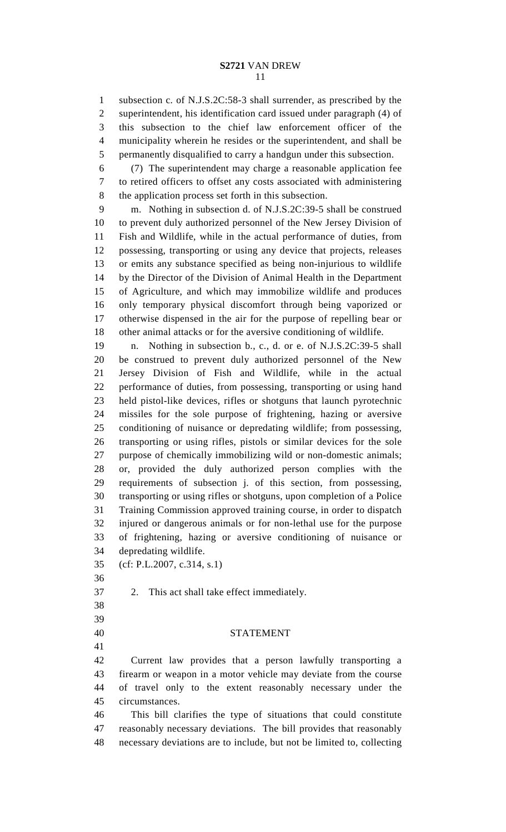1 subsection c. of N.J.S.2C:58-3 shall surrender, as prescribed by the 2 superintendent, his identification card issued under paragraph (4) of 3 this subsection to the chief law enforcement officer of the 4 municipality wherein he resides or the superintendent, and shall be 5 permanently disqualified to carry a handgun under this subsection.

6 (7) The superintendent may charge a reasonable application fee 7 to retired officers to offset any costs associated with administering 8 the application process set forth in this subsection.

9 m. Nothing in subsection d. of N.J.S.2C:39-5 shall be construed 10 to prevent duly authorized personnel of the New Jersey Division of 11 Fish and Wildlife, while in the actual performance of duties, from 12 possessing, transporting or using any device that projects, releases 13 or emits any substance specified as being non-injurious to wildlife 14 by the Director of the Division of Animal Health in the Department 15 of Agriculture, and which may immobilize wildlife and produces 16 only temporary physical discomfort through being vaporized or 17 otherwise dispensed in the air for the purpose of repelling bear or 18 other animal attacks or for the aversive conditioning of wildlife.

19 n. Nothing in subsection b., c., d. or e. of N.J.S.2C:39-5 shall 20 be construed to prevent duly authorized personnel of the New 21 Jersey Division of Fish and Wildlife, while in the actual 22 performance of duties, from possessing, transporting or using hand 23 held pistol-like devices, rifles or shotguns that launch pyrotechnic 24 missiles for the sole purpose of frightening, hazing or aversive 25 conditioning of nuisance or depredating wildlife; from possessing, 26 transporting or using rifles, pistols or similar devices for the sole 27 purpose of chemically immobilizing wild or non-domestic animals; 28 or, provided the duly authorized person complies with the 29 requirements of subsection j. of this section, from possessing, 30 transporting or using rifles or shotguns, upon completion of a Police 31 Training Commission approved training course, in order to dispatch 32 injured or dangerous animals or for non-lethal use for the purpose 33 of frightening, hazing or aversive conditioning of nuisance or 34 depredating wildlife.

- 35 (cf: P.L.2007, c.314, s.1)
- 36 37 2. This act shall take effect immediately.
- 38 39
- 
- 41

## 40 STATEMENT

42 Current law provides that a person lawfully transporting a 43 firearm or weapon in a motor vehicle may deviate from the course 44 of travel only to the extent reasonably necessary under the 45 circumstances.

46 This bill clarifies the type of situations that could constitute 47 reasonably necessary deviations. The bill provides that reasonably 48 necessary deviations are to include, but not be limited to, collecting